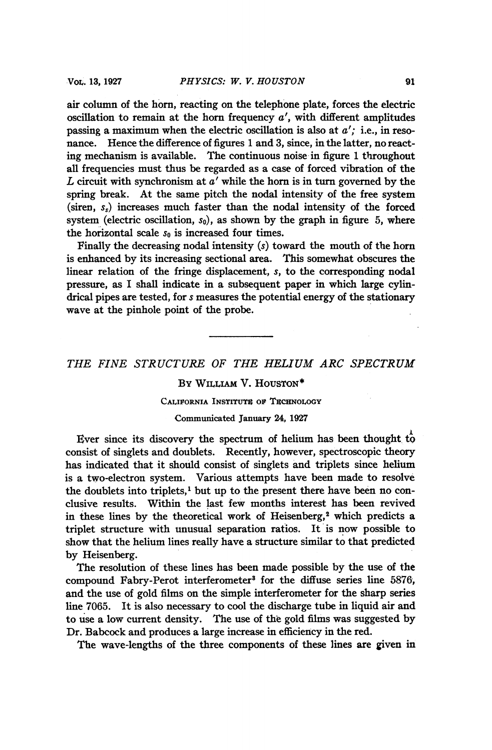air column of the horn, reacting on the telephone plate, forces the electric oscillation to remain at the horn frequency  $a'$ , with different amplitudes passing a maximum when the electric oscillation is also at  $a'$ ; i.e., in resonance. Hence the difference of figures <sup>1</sup> and 3, since, in the latter, no reacting mechanism is available. The continuous noise in figure <sup>1</sup> throughout all frequencies must thus be regarded as a case of forced vibration of the  $L$  circuit with synchronism at  $a'$  while the horn is in turn governed by the spring break. At the same pitch the nodal intensity of the free system (siren,  $s<sub>s</sub>$ ) increases much faster than the nodal intensity of the forced system (electric oscillation,  $s_0$ ), as shown by the graph in figure 5, where the horizontal scale  $s_0$  is increased four times.

Finally the decreasing nodal intensity (s) toward the mouth of the horn is enhanced by its increasing sectional area. This somewhat obscures the linear relation of the fringe displacement, s, to the corresponding nodal pressure, as I shall indicate in a subsequent paper in which large cylindrical pipes are tested, for s measures the potential energy of the stationary wave at the pinhole point of the probe.

THE FINE STRUCTURE OF THE HELIUM ARC SPECTRUM

# By WILLIAM V. HOUSTON\*

### CALIFORNIA INSTITUTE OF TECHNOLOGY

#### Communicated January 24, 1927

Ever since its discovery the spectrum of helium has been thought to consist of singlets and doublets. Recently, however, spectroscopic theory has indicated that it should consist of singlets and triplets since helium is a two-electron system. Various attempts have been made to resolve the doublets into triplets,' but up to the present there have been no conclusive results. Within the last few months interest has been revived in these lines by the theoretical work of Heisenberg,<sup>2</sup> which predicts a triplet structure with unusual separation ratios. It is now possible to show that the helium lines really have a structure similar to that predicted by Heisenberg.

The resolution of these lines has been made possible by the use of the compound Fabry-Perot interferometer<sup>3</sup> for the diffuse series line 5876, and the use of gold films on the simple interferometer for the sharp series line 7065. It is also necessary to cool the discharge tube in liquid air and to use a low current density. The use of the gold films was suggested by Dr. Babcock and produces a large increase in efficiency in the red.

The wave-lengths of the three components of these lines are given in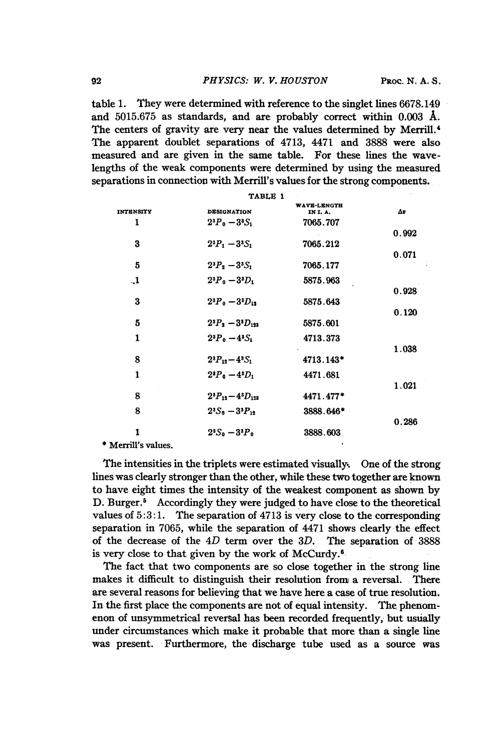table 1. They were determined with reference to the singlet lines 6678. 149 and 5015.675 as standards, and are probably correct within 0.003 A. The centers of gravity are very near the values determined by Merrill.4 The apparent doublet separations of 4713, 4471 and 3888 were also measured and are given in the same table. For these lines the wavelengths of the weak components were determined by using the measured separations in connection with Merrill's values for the strong components.

| TABLE 1          |                            |                        |       |
|------------------|----------------------------|------------------------|-------|
| <b>INTENSITY</b> | <b>DESIGNATION</b>         | WAVE-LENGTH<br>IN I.A. | Δø    |
| 1                | $2^{3}P_{0} - 3^{3}S_{1}$  | 7065.707               |       |
|                  |                            |                        | 0.992 |
| 3                | $2^{3}P_{1}-3^{3}S_{1}$    | 7065.212               |       |
|                  |                            |                        | 0.071 |
| 5                | $2^{3}P_{2}-3^{3}S_{1}$    | 7065.177               |       |
| $\mathbf{L}$     | $2^{3}P_{0} - 3^{3}D_{1}$  | 5875.963               |       |
|                  |                            |                        | 0.928 |
| 3                | $2^{3}P_{0} - 3^{3}D_{12}$ | 5875.643               |       |
|                  |                            |                        | 0.120 |
| 5                | $2^{3}P_{2}-3^{3}D_{123}$  | 5875.601               |       |
| 1                | $2^{3}P_{0} - 4^{3}S_{1}$  | 4713.373               |       |
|                  |                            |                        | 1.038 |
| 8                | $2^{3}P_{12}-4^{3}S_{1}$   | 4713.143*              |       |
| 1                | $2^{3}P_{0}-4^{3}D_{1}$    | 4471.681               |       |
|                  |                            |                        | 1.021 |
| 8                | $2^{3}P_{12}-4^{3}D_{123}$ | 4471.477*              |       |
| 8                | $2^{3}S_{0}-3^{3}P_{12}$   | 3888.646*              |       |
|                  |                            |                        | 0.286 |
| 1                | $2^{3}S_{0} - 3^{3}P_{0}$  | 3888.603               |       |
|                  |                            |                        |       |

\* Merrill's values.

The intensities in the triplets were estimated visually. One of the strong lines was clearly stronger than the other, while these two together are known to have eight times the intensity of the weakest component as shown by D. Burger.<sup>5</sup> Accordingly they were judged to have close to the theoretical values of 5:3:1. The separation of 4713 is very close to the corresponding separation in 7065, while the separation of 4471 shows clearly the effect of the decrease of the 4D term over the 3D. The separation of 3888 is very close to that given by the work of McCurdy.'

The fact that two components are so close together in the strong line makes it difficult to distinguish their resolution from a reversal. There are several reasons for believing that we have here a case of true resolution. In the first place the components are not of equal intensity. The phenomenon of unsymmetrical reversal has been recorded frequently, but usually under circumstances which make it probable that more than a single line was present. Furthermore, the discharge tube used as a source was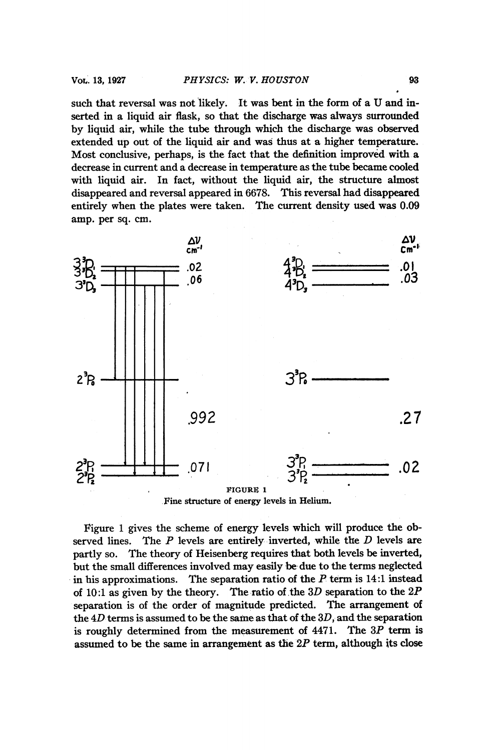such that reversal was not likely. It was bent in the form of <sup>a</sup> U and inserted in a liquid air flask, so that the discharge was always surrounded by liquid air, while the tube through which the discharge was observed extended up out of the liquid air and was thus at a higher temperature. Most conclusive, perhaps, is the fact that the definition improved with a decrease in current and a decrease in temperature as the tube became cooled with liquid air. In fact, without the liquid air, the structure almost disappeared and reversal appeared in 6678. This reversal had disappeared entirely when the plates were taken. The current density used was 0.09 amp. per sq. cm.



Figure <sup>1</sup> gives the scheme of energy levels which will produce the observed lines. The  $P$  levels are entirely inverted, while the  $D$  levels are partly so. The theory of Heisenberg requires that both levels be inverted, but the small differences involved may easily be- due to the terms neglected in his approximations. The separation ratio of the  $P$  term is 14:1 instead of 10:1 as given by the theory. The ratio of the 3D separation to the  $2P$ separation is of the order of magnitude predicted. The arrangement of the  $4D$  terms is assumed to be the same as that of the  $3D$ , and the separation is roughly determined from the measurement of  $4471$ . The  $3P$  term is assumed to be the same in arrangement as the  $2P$  term, although its close